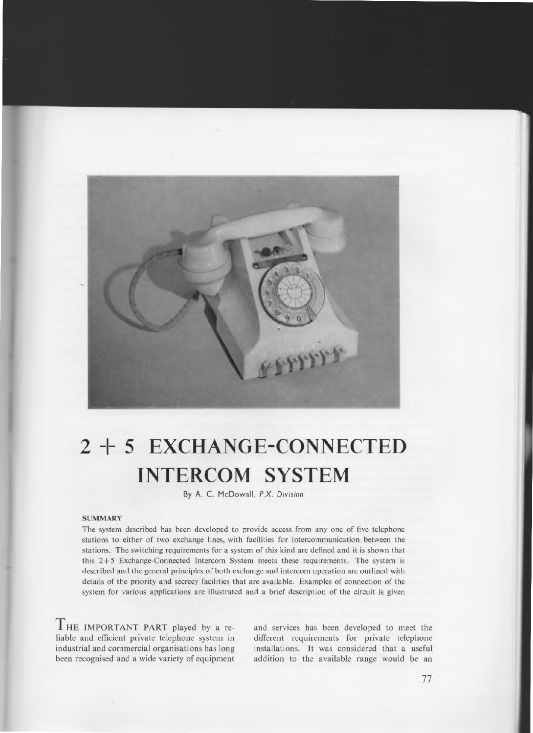

# **2 -I- 5 EXCHANGE-CONNECTED INTERCOM SYSTEM**

By A. C. McDowall, *P.X. Division* 

#### **SUMMARY**

**The** system described has been developed to provide access from any one of five telephone stations to either of two exchange lines, with facilities for intercommunication between the stations. The switching requirements for a system of this kind are defined and it is shown that this 2+5 Exchange-Connected Intercom System meets these requirements. The system is described and the general principles of both exchange and intercom operation are outlined with details of the priority and secrecy facilities that are available. Examples of connection of the system for various applications are illustrated and a brief description of the circuit is given

THE IMPORTANT PART played by a reliable and efficient private telephone system in industrial and commercial organisations has long been recognised and a wide variety of equipment

and services has been developed to meet the different requirements for private telephone installations. It was considered that a useful addition to the available range would be an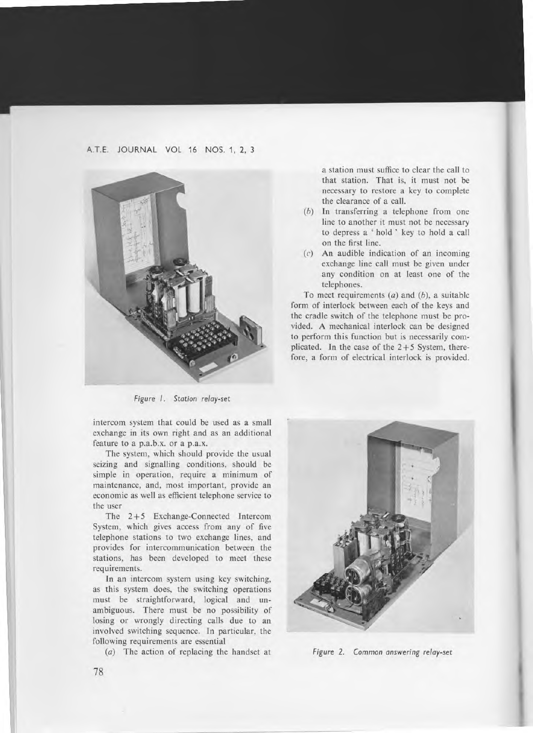# A.T.E. JOURNAL VOL 16 NOS. 1, 2, 3



*Figure I. Station relay-set* 

intercom system that could be used as a small exchange in its own right and as an additional feature to a p.a.b.x. or a p.a.x.

The system, which should provide the usual seizing and signalling conditions, should be simple in operation, require a minimum of maintenance, and, most important, provide an economic as well as efficient telephone service to the user

The 2+5 Exchange-Connected Intercom System, which gives access from any of five telephone stations to two exchange lines, and provides for intercommunication between the stations, has been developed to meet these requirements.

In an intercom system using key switching, as this system does, the switching operations must be straightforward, logical and unambiguous. There must be no possibility of losing or wrongly directing calls due to an involved switching sequence. In particular, the following requirements are essential

(a) The action of replacing the handset at

a station must suffice to clear the call to that station. That is, it must not be necessary to restore a key to complete the clearance of a call.

- (b) In transferring a telephone from one line to another it must not be necessary to depress a ' hold ' key to hold a call on the first line.
- (c) An audible indication of an incoming exchange line call must be given under any condition on at least one of the telephones.

To meet requirements (a) and *(b),* a suitable form of interlock between each of the keys and the cradle switch of the telephone must be provided. A mechanical interlock can be designed to perform this function but is necessarily complicated. In the case of the  $2+5$  System, therefore, a form of electrical interlock is provided.



*Figure 2. Common answering* relay-set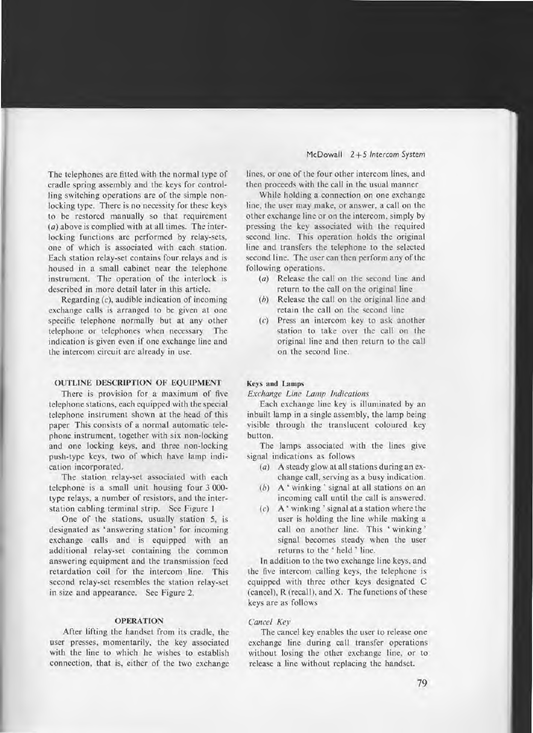The telephones are fitted with the normal type of cradle spring assembly and the keys for controlling switching operations are of the simple nonlocking type. There is no necessity for these keys to be restored manually so that requirement (a) above is complied with at all times. The interlocking functions are performed by relay-sets, one of which is associated with each station. Each station relay-set contains four relays and is housed in a small cabinet near the telephone instrument. The operation of the interlock is described in more detail later in this article.

Regarding *(c),* audible indication of incoming exchange calls is arranged to be given at one specific telephone normally but at any other telephone or telephones when necessary The indication is given even if one exchange line and the intercom circuit are already in use.

# **OUTLINE DESCRIPTION OF EQUIPMENT**

**There** is provision for a maximum of five telephone stations, each equipped with the special telephone instrument shown at the head of this paper This consists of a normal automatic telephone instrument, together with six non-locking and one locking keys, and three non-locking push-type keys, two of which have lamp indication incorporated.

The station relay-set associated with each telephone is a small unit housing four 3 000 type relays, a number of resistors, and the interstation cabling terminal strip. See Figure 1

One of the stations, usually station 5, is designated as 'answering station' for incoming exchange calls and is equipped with an additional relay-set containing the common answering equipment and the transmission feed retardation coil for the intercom line. This second relay-set resembles the station relay-set in size and appearance. See Figure 2.

# **OPERATION**

After lifting the handset from its cradle, the user presses, momentarily, the key associated with the line to which he wishes to establish connection, that is, either of the two exchange lines, or one of the four other intercom lines, and then proceeds with the call in the usual manner

While holding a connection on one exchange line, the user may make, or answer, a call on the other exchange line or on the intercom, simply by pressing the key associated with the required second line. This operation holds the original line and transfers the telephone to the selected second line. The user can then perform any of the following operations.

- (a) Release the call on the second line and return to the call on the original line
- (b) Release the call on the original line and retain the call on the second line
- (c) Press an intercom key to ask another station to take over the call on the original line and then return to the call on the second line.

# **Keys and Lamps**

## *Exchange Line Lamp Indications*

Each exchange line key is illuminated by an inbuilt lamp in a single assembly, the lamp being visible through the translucent coloured key button.

The lamps associated with the lines give signal indications as follows

- (a) A steady glow at all stations during an exchange call, serving as a busy indication.
- (b) A ' winking ' signal at all stations on an incoming call until the call is answered.
- (c) A ' winking ' signal at a station where the user is holding the line while making a call on another line. This ' winking ' signal becomes steady when the user returns to the ' held ' line.

In addition to the two exchange line keys, and the five intercom calling keys, the telephone is equipped with three other keys designated C (cancel), R (recall), and X. The functions of these keys are as follows

# *Cancel Key*

The cancel key enables the user to release one exchange line during call transfer operations without losing the other exchange line, or to release a line without replacing the handset.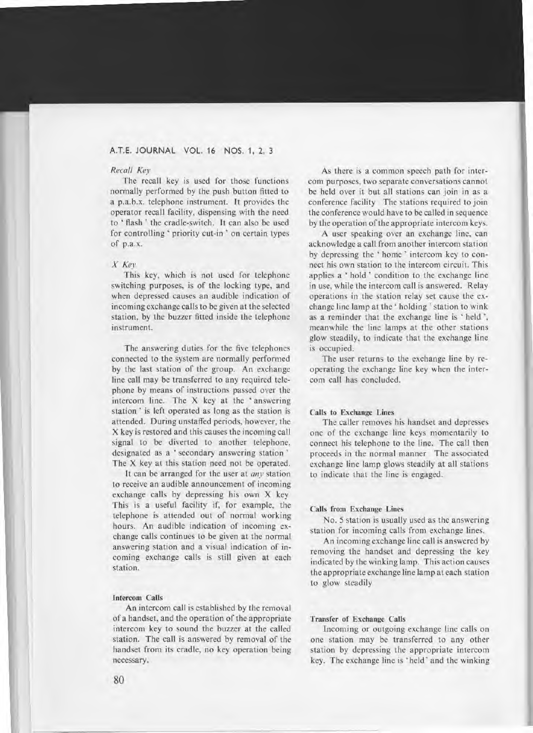# *Recall Key*

The recall key is used for those functions normally performed by the push button fitted to a p.a.b.x. telephone instrument. It provides the operator recall facility, dispensing with the need to ' flash ' the cradle-switch. It can also be used for controlling ' priority cut-in' on certain types of p.a.x.

# *X Key*

This key, which is not used for telephone switching purposes, is of the locking type, and when depressed causes an audible indication of incoming exchange calls to be given at the selected station, by the buzzer fitted inside the telephone instrument.

The answering duties for the five telephones connected to the system are normally performed by the last station of the group. An exchange line call may be transferred to any required telephone by means of instructions passed over the intercom line. The X key at the ' answering station ' is left operated as long as the station is attended. During unstaffed periods, however, the X key is restored and this causes the incoming call signal to be diverted to another telephone, designated as a ' secondary answering station ' The X key at this station need not be operated.

It can be arranged for the user at *any* station to receive an audible announcement of incoming exchange calls by depressing his own X key This is a useful facility if, for example, the telephone is attended out of normal working hours. An audible indication of incoming exchange calls continues to be given at the normal answering station and a visual indication of incoming exchange calls is still given at each station.

## Intercom Calls

An intercom call is established by the removal of a handset, and the operation of the appropriate intercom key to sound the buzzer at the called station. The call is answered by removal of the handset from its cradle, no key operation being necessary.

As there is a common speech path for intercom purposes, two separate conversations cannot be held over it but all stations can join in as a conference facility The stations required to join the conference would have to be called in sequence by the operation of the appropriate intercom keys.

A user speaking over an exchange line, can acknowledge a call from another intercom station by depressing the ' home ' intercom key to connect his own station to the intercom circuit. This applies a ' hold' condition to the exchange line in use, while the intercom call is answered. Relay operations in the station relay set cause the exchange line lamp at the ' holding ' station to wink as a reminder that the exchange line is ' held ', meanwhile the line lamps at the other stations glow steadily, to indicate that the exchange line is occupied.

The user returns to the exchange line by reoperating the exchange line key when the intercom call has concluded.

#### Calls to Exchange Lines

The caller removes his handset and depresses one of the exchange line keys momentarily to connect his telephone to the line. The call then proceeds in the normal manner The associated exchange line lamp glows steadily at all stations to indicate that the line is engaged.

# Calls from Exchange Lines

No. 5 station is usually used as the answering station for incoming calls from exchange lines.

An incoming exchange line call is answered by removing the handset and depressing the key indicated by the winking lamp. This action causes the appropriate exchange line lamp at each station to glow steadily

#### Transfer of Exchange Calls

Incoming or outgoing exchange line calls on one station may be transferred to any other station by depressing the appropriate intercom key. The exchange line is ' held ' and the winking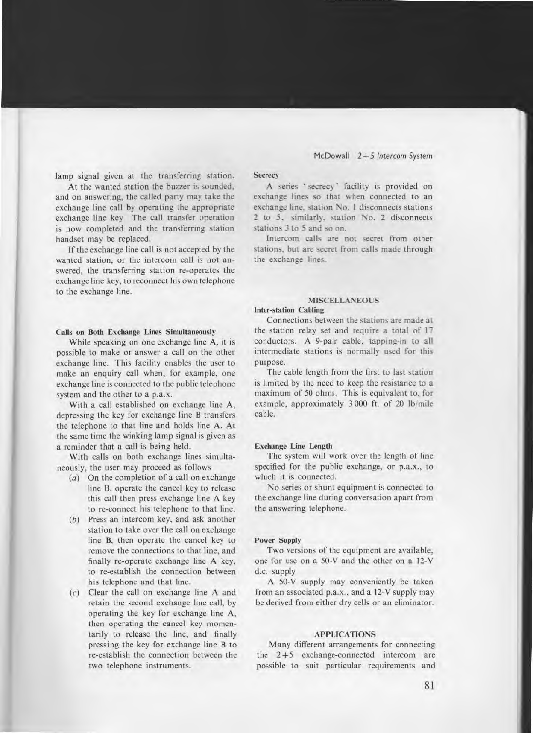lamp signal given at the transferring station.

At the wanted station the buzzer is sounded, and on answering, the called party may take the exchange line call by operating the appropriate exchange line key The call transfer operation is now completed and the transferring station handset may be replaced.

If the exchange line call is not accepted by the wanted station, or the intercom call is not answered, the transferring station re-operates the exchange line key, to reconnect his own telephone to the exchange line.

#### Calls on Both Exchange Lines Simultaneously

While speaking on one exchange line A, it is possible to make or answer a call on the other exchange line. This facility enables the user to make an enquiry call when, for example, one exchange line is connected to the public telephone system and the other to a p.a.x.

With a call established on exchange line A, depressing the key for exchange line B transfers the telephone to that line and holds line A. At the same time the winking lamp signal is given as a reminder that a call is being held.

With calls on both exchange lines simultaneously, the user may proceed as follows

- $(a)$  On the completion of a call on exchange line B, operate the cancel key to release this call then press exchange line A key to re-connect his telephone to that line.
- (b) Press an intercom key, and ask another station to take over the call on exchange line B, then operate the cancel key to remove the connections to that line, and finally re-operate exchange line A key, to re-establish the connection between his telephone and that line.
- (c) Clear the call on exchange line A and retain the second exchange line call, by operating the key for exchange line A, then operating the cancel key momentarily to release the line, and finally pressing the key for exchange line B to re-establish the connection between the two telephone instruments.

#### **Secrecy**

A series ' secrecy ' facility is provided on exchange lines so that when connected to an exchange line, station No. 1 disconnects stations 2 to 5, similarly, station No. 2 disconnects stations 3 to 5 and so on.

Intercom calls are not secret from other stations, but are secret from calls made through the exchange lines.

## **MISCELLANEOUS**

# **Inter-station Cabling**

Connections between the stations are made at the station relay set and require a total of 17 conductors. A 9-pair cable, tapping-in to all intermediate stations is normally used for this purpose.

The cable length from the first to last station is limited by the need to keep the resistance to a maximum of 50 ohms. This is equivalent to, for example, approximately 3 000 ft. of 20 lb/mile cable.

# Exchange **Line Length**

The system will work over the length of line specified for the public exchange, or p.a.x., to which it is connected.

No series or shunt equipment is connected to the exchange line during conversation apart from the answering telephone.

# Power **Supply**

Two versions of the equipment are available, one for use on a 50-V and the other on a 12-V d.c. supply

A 50-V supply may conveniently be taken from an associated p.a.x., and a 12-V supply may be derived from either dry cells or an eliminator.

# **APPLICATIONS**

Many different arrangements for connecting the  $2+5$  exchange-connected intercom are possible to suit particular requirements and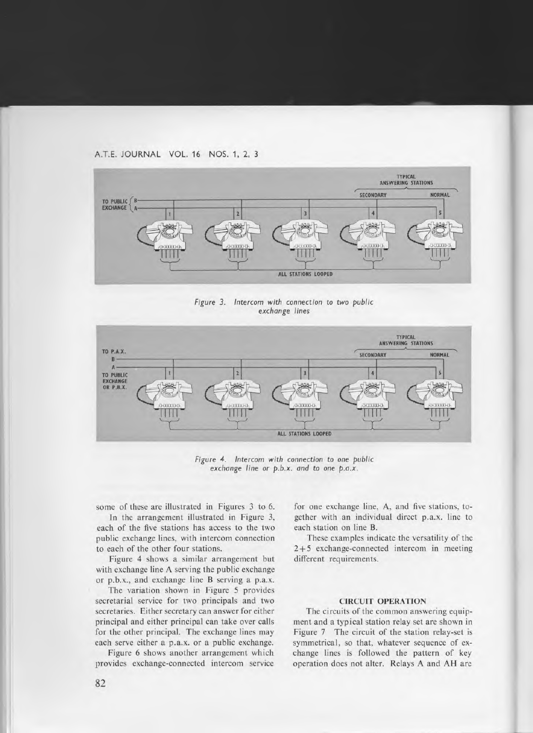

*Figure 3. Intercom with* connection to *two public exchange lines* 



*Figure 4. Intercom with* connection to *one public exchange line or p.b.x. and* to *one p.a.x.* 

some of these are illustrated in Figures 3 to 6.

In the arrangement illustrated in Figure 3, each of the five stations has access to the two public exchange lines, with intercom connection to each of the other four stations.

Figure 4 shows a similar arrangement but with exchange line A serving the public exchange or p.b.x., and exchange line **B** serving a p.a.x.

The variation shown in Figure 5 provides secretarial service for two principals and two secretaries. Either secretary can answer for either principal and either principal can take over calls for the other principal. The exchange lines may each serve either a p.a.x. or a public exchange.

Figure 6 shows another arrangement which provides exchange-connected intercom service

for one exchange line, A, and five stations, together with an individual direct p.a.x. line to each station on line **B.** 

These examples indicate the versatility of the 2 +5 exchange-connected intercom in meeting different requirements.

# **CIRCUIT OPERATION**

The circuits of the common answering equipment and a typical station relay set are shown in Figure 7 The circuit of the station relay-set is symmetrical, so that, whatever sequence of exchange lines is followed the pattern of key operation does not alter. Relays A and AH are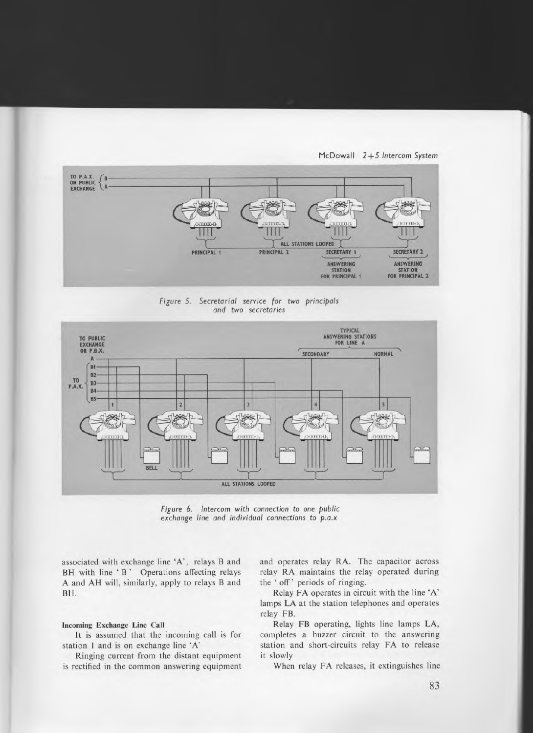

*Figure 5. Secretarial service for two principals and two secretaries* 



*Figure 6. Intercom with* connection to *one public exchange line and individual connections to p.a.x* 

associated with exchange line 'A', relays B and BH with line 'B' Operations affecting relays A and AH will, similarly, apply to relays B and BH.

## **Incoming Exchange Line Call**

It is assumed that the incoming call is for station 1 and is on exchange line 'A'

Ringing current from the distant equipment is rectified in the common answering equipment and operates relay RA. The capacitor across relay RA maintains the relay operated during the 'off' periods of ringing.

Relay FA operates in circuit with the line 'A' lamps LA at the station telephones and operates relay FB.

Relay FB operating, lights line lamps LA, completes a buzzer circuit to the answering station and short-circuits relay FA to release it slowly

When relay FA releases, it extinguishes line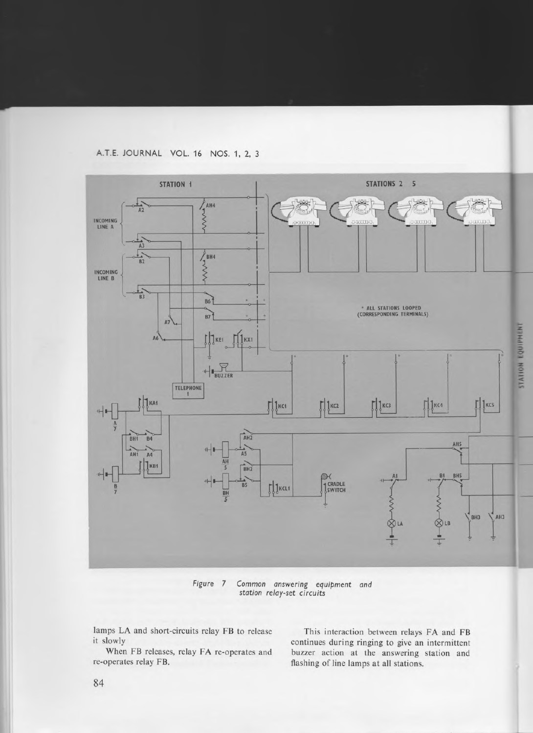A.T.E. JOURNAL VOL. 16 NOS. 1, 2, 3



*Figure 7 Common answering* equipment *and station relay-set circuits* 

lamps LA and short-circuits relay FB to release<br>it slowly<br>continues during ringing to give an intermittent

slowly<br>When FB releases, relay FA re-operates and buzzer action at the answering station and When FB releases, relay FA re-operates and buzzer action at the answering station and re-operates relay FB. <br>flashing of line lamps at all stations. flashing of line lamps at all stations.